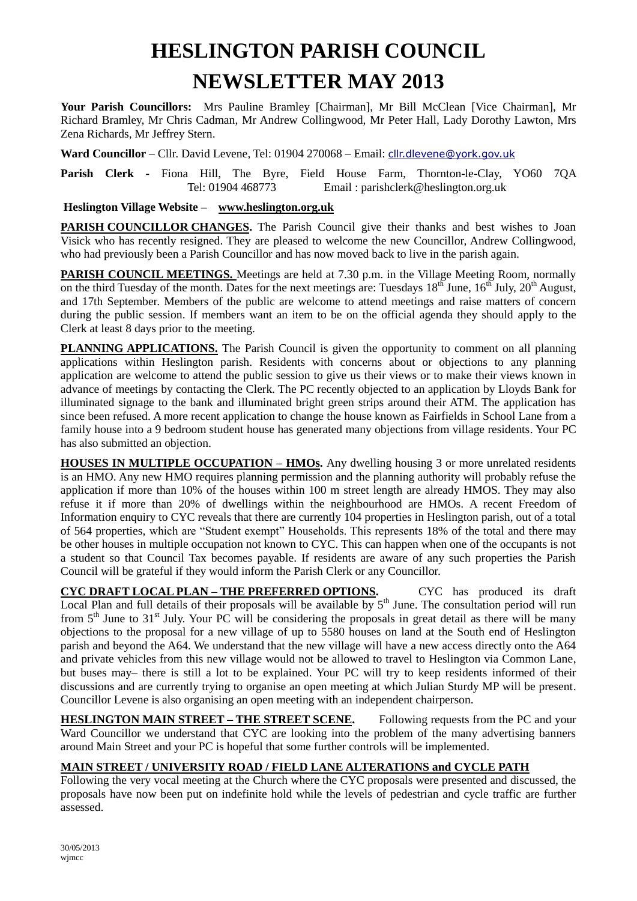# **HESLINGTON PARISH COUNCIL NEWSLETTER MAY 2013**

**Your Parish Councillors:** Mrs Pauline Bramley [Chairman], Mr Bill McClean [Vice Chairman], Mr Richard Bramley, Mr Chris Cadman, Mr Andrew Collingwood, Mr Peter Hall, Lady Dorothy Lawton, Mrs Zena Richards, Mr Jeffrey Stern.

Ward Councillor - Cllr. David Levene, Tel: 01904 270068 - Email: [cllr.dlevene@york.gov.uk](mailto:cllr.dlevene@york.gov.uk)

**Parish Clerk -** Fiona Hill, The Byre, Field House Farm, Thornton-le-Clay, YO60 7QA Tel: 01904 468773 Email : parishclerk@heslington.org.uk

#### **Heslington Village Website – [www.heslington.org.uk](http://www.heslington.org.uk/)**

PARISH COUNCILLOR CHANGES. The Parish Council give their thanks and best wishes to Joan Visick who has recently resigned. They are pleased to welcome the new Councillor, Andrew Collingwood, who had previously been a Parish Councillor and has now moved back to live in the parish again.

**PARISH COUNCIL MEETINGS.** Meetings are held at 7.30 p.m. in the Village Meeting Room, normally on the third Tuesday of the month. Dates for the next meetings are: Tuesdays  $18^{th}$  June,  $16^{th}$  July,  $20^{th}$  August, and 17th September. Members of the public are welcome to attend meetings and raise matters of concern during the public session. If members want an item to be on the official agenda they should apply to the Clerk at least 8 days prior to the meeting.

**PLANNING APPLICATIONS.** The Parish Council is given the opportunity to comment on all planning applications within Heslington parish. Residents with concerns about or objections to any planning application are welcome to attend the public session to give us their views or to make their views known in advance of meetings by contacting the Clerk. The PC recently objected to an application by Lloyds Bank for illuminated signage to the bank and illuminated bright green strips around their ATM. The application has since been refused. A more recent application to change the house known as Fairfields in School Lane from a family house into a 9 bedroom student house has generated many objections from village residents. Your PC has also submitted an objection.

**HOUSES IN MULTIPLE OCCUPATION – HMOs.** Any dwelling housing 3 or more unrelated residents is an HMO. Any new HMO requires planning permission and the planning authority will probably refuse the application if more than 10% of the houses within 100 m street length are already HMOS. They may also refuse it if more than 20% of dwellings within the neighbourhood are HMOs. A recent Freedom of Information enquiry to CYC reveals that there are currently 104 properties in Heslington parish, out of a total of 564 properties, which are "Student exempt" Households. This represents 18% of the total and there may be other houses in multiple occupation not known to CYC. This can happen when one of the occupants is not a student so that Council Tax becomes payable. If residents are aware of any such properties the Parish Council will be grateful if they would inform the Parish Clerk or any Councillor.

**CYC DRAFT LOCAL PLAN – THE PREFERRED OPTIONS.** CYC has produced its draft Local Plan and full details of their proposals will be available by  $5<sup>th</sup>$  June. The consultation period will run from  $5<sup>th</sup>$  June to  $31<sup>st</sup>$  July. Your PC will be considering the proposals in great detail as there will be many objections to the proposal for a new village of up to 5580 houses on land at the South end of Heslington parish and beyond the A64. We understand that the new village will have a new access directly onto the A64 and private vehicles from this new village would not be allowed to travel to Heslington via Common Lane, but buses may– there is still a lot to be explained. Your PC will try to keep residents informed of their discussions and are currently trying to organise an open meeting at which Julian Sturdy MP will be present. Councillor Levene is also organising an open meeting with an independent chairperson.

**HESLINGTON MAIN STREET – THE STREET SCENE.** Following requests from the PC and your Ward Councillor we understand that CYC are looking into the problem of the many advertising banners around Main Street and your PC is hopeful that some further controls will be implemented.

## **MAIN STREET / UNIVERSITY ROAD / FIELD LANE ALTERATIONS and CYCLE PATH**

Following the very vocal meeting at the Church where the CYC proposals were presented and discussed, the proposals have now been put on indefinite hold while the levels of pedestrian and cycle traffic are further assessed.